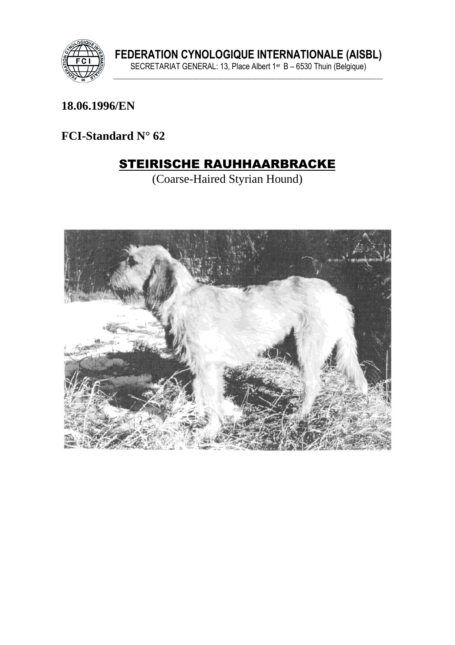

18.06.1996/EN

FCI-Standard  $N^{\circ}$  62

# **STEIRISCHE RAUHHAARBRACKE**

(Coarse-Haired Styrian Hound)

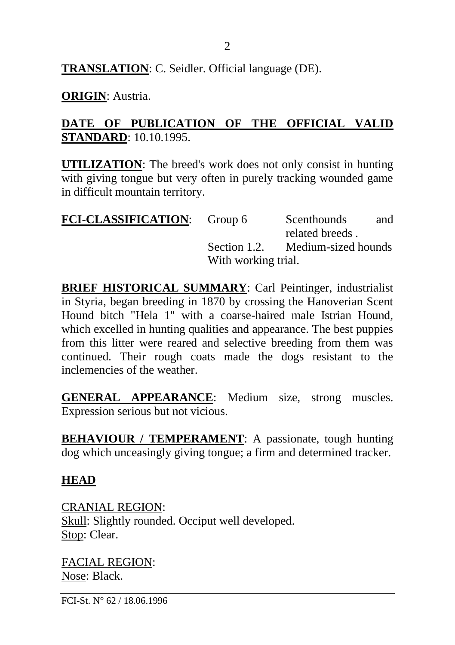**TRANSLATION**: C. Seidler. Official language (DE).

#### **ORIGIN**: Austria.

### **DATE OF PUBLICATION OF THE OFFICIAL VALID STANDARD**: 10.10.1995.

**UTILIZATION**: The breed's work does not only consist in hunting with giving tongue but very often in purely tracking wounded game in difficult mountain territory.

| <b>FCI-CLASSIFICATION:</b> Group 6 |                     | Scenthounds         | and |
|------------------------------------|---------------------|---------------------|-----|
|                                    |                     | related breeds.     |     |
|                                    | Section 1.2.        | Medium-sized hounds |     |
|                                    | With working trial. |                     |     |

**BRIEF HISTORICAL SUMMARY**: Carl Peintinger, industrialist in Styria, began breeding in 1870 by crossing the Hanoverian Scent Hound bitch "Hela 1" with a coarse-haired male Istrian Hound, which excelled in hunting qualities and appearance. The best puppies from this litter were reared and selective breeding from them was continued. Their rough coats made the dogs resistant to the inclemencies of the weather.

**GENERAL APPEARANCE**: Medium size, strong muscles. Expression serious but not vicious.

**BEHAVIOUR / TEMPERAMENT**: A passionate, tough hunting dog which unceasingly giving tongue; a firm and determined tracker.

#### **HEAD**

CRANIAL REGION: Skull: Slightly rounded. Occiput well developed. Stop: Clear.

FACIAL REGION: Nose: Black.

FCI-St. N° 62 / 18.06.1996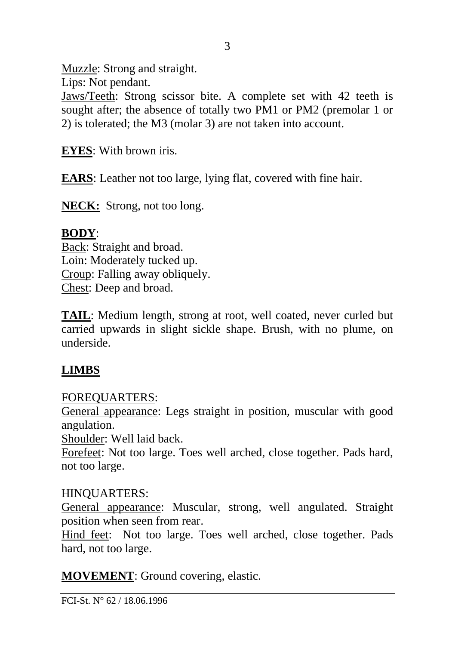Muzzle: Strong and straight.

Lips: Not pendant.

Jaws/Teeth: Strong scissor bite. A complete set with 42 teeth is sought after; the absence of totally two PM1 or PM2 (premolar 1 or 2) is tolerated; the M3 (molar 3) are not taken into account.

3

**EYES**: With brown iris.

**EARS**: Leather not too large, lying flat, covered with fine hair.

**NECK:** Strong, not too long.

## **BODY**:

Back: Straight and broad. Loin: Moderately tucked up. Croup: Falling away obliquely. Chest: Deep and broad.

**TAIL**: Medium length, strong at root, well coated, never curled but carried upwards in slight sickle shape. Brush, with no plume, on underside.

## **LIMBS**

## FOREQUARTERS:

General appearance: Legs straight in position, muscular with good angulation.

Shoulder: Well laid back.

Forefeet: Not too large. Toes well arched, close together. Pads hard, not too large.

### HINQUARTERS:

General appearance: Muscular, strong, well angulated. Straight position when seen from rear.

Hind feet: Not too large. Toes well arched, close together. Pads hard, not too large.

**MOVEMENT**: Ground covering, elastic.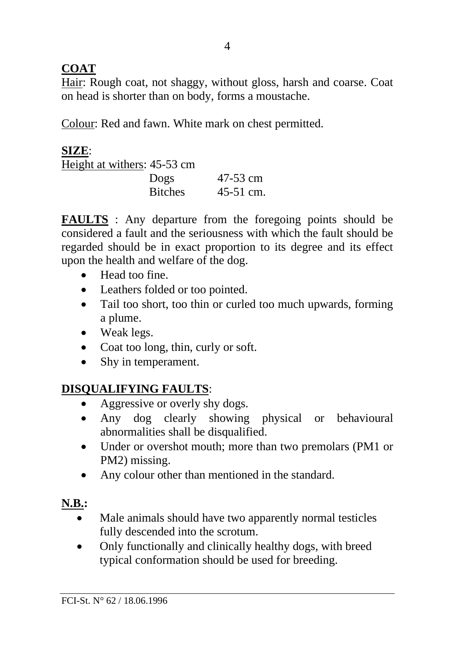## **COAT**

Hair: Rough coat, not shaggy, without gloss, harsh and coarse. Coat on head is shorter than on body, forms a moustache.

Colour: Red and fawn. White mark on chest permitted.

## **SIZE**:

| Height at withers: 45-53 cm |             |
|-----------------------------|-------------|
| Dogs                        | 47-53 cm    |
| <b>Bitches</b>              | $45-51$ cm. |

**FAULTS** : Any departure from the foregoing points should be considered a fault and the seriousness with which the fault should be regarded should be in exact proportion to its degree and its effect upon the health and welfare of the dog.

- Head too fine.
- Leathers folded or too pointed.
- Tail too short, too thin or curled too much upwards, forming a plume.
- Weak legs.
- Coat too long, thin, curly or soft.
- Shy in temperament.

# **DISQUALIFYING FAULTS**:

- Aggressive or overly shy dogs.
- Any dog clearly showing physical or behavioural abnormalities shall be disqualified.
- Under or overshot mouth; more than two premolars (PM1 or PM2) missing.
- Any colour other than mentioned in the standard.

# **N.B.:**

- Male animals should have two apparently normal testicles fully descended into the scrotum.
- Only functionally and clinically healthy dogs, with breed typical conformation should be used for breeding.